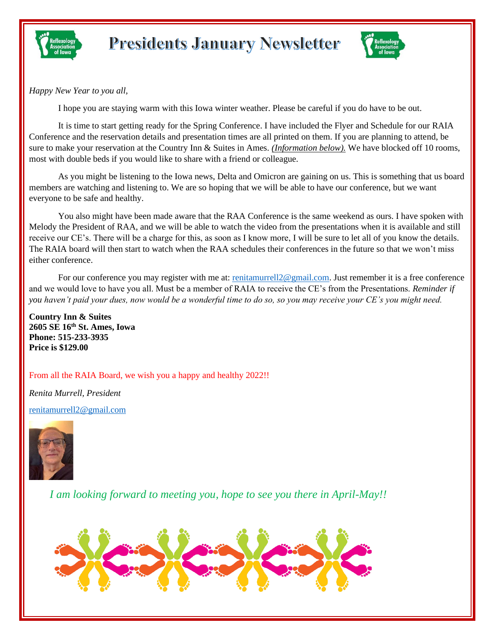



*Happy New Year to you all,*

I hope you are staying warm with this Iowa winter weather. Please be careful if you do have to be out.

It is time to start getting ready for the Spring Conference. I have included the Flyer and Schedule for our RAIA Conference and the reservation details and presentation times are all printed on them. If you are planning to attend, be sure to make your reservation at the Country Inn & Suites in Ames. *(Information below).* We have blocked off 10 rooms, most with double beds if you would like to share with a friend or colleague.

As you might be listening to the Iowa news, Delta and Omicron are gaining on us. This is something that us board members are watching and listening to. We are so hoping that we will be able to have our conference, but we want everyone to be safe and healthy.

You also might have been made aware that the RAA Conference is the same weekend as ours. I have spoken with Melody the President of RAA, and we will be able to watch the video from the presentations when it is available and still receive our CE's. There will be a charge for this, as soon as I know more, I will be sure to let all of you know the details. The RAIA board will then start to watch when the RAA schedules their conferences in the future so that we won't miss either conference.

For our conference you may register with me at: [renitamurrell2@gmail.com.](mailto:renitamurrell2@gmail.com) Just remember it is a free conference and we would love to have you all. Must be a member of RAIA to receive the CE's from the Presentations. *Reminder if you haven't paid your dues, now would be a wonderful time to do so, so you may receive your CE's you might need.*

**Country Inn & Suites 2605 SE 16th St. Ames, Iowa Phone: 515-233-3935 Price is \$129.00**

From all the RAIA Board, we wish you a happy and healthy 2022!!

*Renita Murrell, President*

[renitamurrell2@gmail.com](mailto:renitamurrell2@gmail.com)



*I am looking forward to meeting you, hope to see you there in April-May!!*

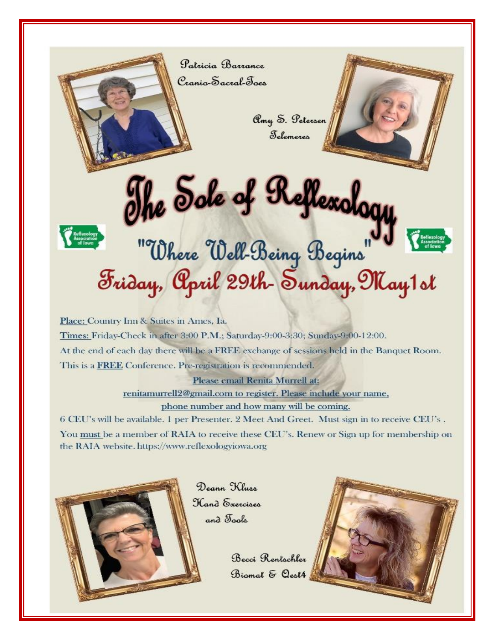

Amy S. Petersen Felemeres



## The Sole of Reflexology<br>In Where Well-Being Begins July<br>Friday, April 29th-Sunday, May 1 of

Place: Country Inn & Suites in Ames, Ia. Times: Friday-Check in after 3:00 P.M.; Saturday-9:00-3:30; Sunday-9:00-12:00. At the end of each day there will be a FREE exchange of sessions held in the Banquet Room. This is a FREE Conference. Pre-registration is recommended.

Please email Renita Murrell at:

renitamurrell2@gmail.com to register. Please include your name,

phone number and how many will be coming.

6 CEU's will be available. 1 per Presenter, 2 Meet And Greet. Must sign in to receive CEU's. You must be a member of RAIA to receive these CEU's. Renew or Sign up for membership on the RAIA website. https://www.reflexologviowa.org



Deann Kluss Hand Exercises and Tools

> Becci Rentschler Biomal & Oest4